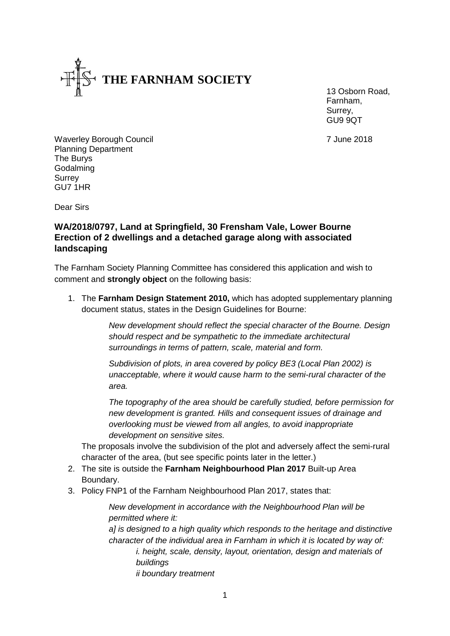

13 Osborn Road, Farnham, Surrey, GU9 9QT

Waverley Borough Council **7** June 2018 Planning Department The Burys Godalming **Surrey** GU7 1HR

Dear Sirs

## **WA/2018/0797, Land at Springfield, 30 Frensham Vale, Lower Bourne Erection of 2 dwellings and a detached garage along with associated landscaping**

The Farnham Society Planning Committee has considered this application and wish to comment and **strongly object** on the following basis:

1. The **Farnham Design Statement 2010,** which has adopted supplementary planning document status, states in the Design Guidelines for Bourne:

> *New development should reflect the special character of the Bourne. Design should respect and be sympathetic to the immediate architectural surroundings in terms of pattern, scale, material and form.*

*Subdivision of plots, in area covered by policy BE3 (Local Plan 2002) is unacceptable, where it would cause harm to the semi-rural character of the area.*

*The topography of the area should be carefully studied, before permission for new development is granted. Hills and consequent issues of drainage and overlooking must be viewed from all angles, to avoid inappropriate development on sensitive sites.*

The proposals involve the subdivision of the plot and adversely affect the semi-rural character of the area, (but see specific points later in the letter.)

- 2. The site is outside the **Farnham Neighbourhood Plan 2017** Built-up Area Boundary.
- 3. Policy FNP1 of the Farnham Neighbourhood Plan 2017, states that:

*New development in accordance with the Neighbourhood Plan will be permitted where it: a] is designed to a high quality which responds to the heritage and distinctive character of the individual area in Farnham in which it is located by way of: i. height, scale, density, layout, orientation, design and materials of buildings*

*ii boundary treatment*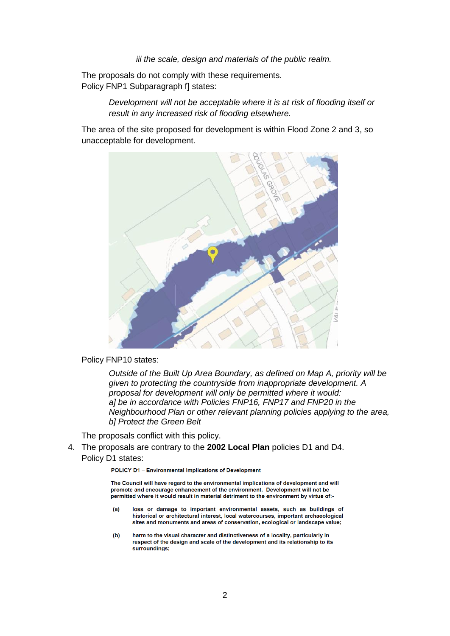*iii the scale, design and materials of the public realm.*

The proposals do not comply with these requirements. Policy FNP1 Subparagraph f] states:

> *Development will not be acceptable where it is at risk of flooding itself or result in any increased risk of flooding elsewhere.*

The area of the site proposed for development is within Flood Zone 2 and 3, so unacceptable for development.



Policy FNP10 states:

*Outside of the Built Up Area Boundary, as defined on Map A, priority will be given to protecting the countryside from inappropriate development. A proposal for development will only be permitted where it would: a] be in accordance with Policies FNP16, FNP17 and FNP20 in the Neighbourhood Plan or other relevant planning policies applying to the area, b] Protect the Green Belt*

The proposals conflict with this policy.

## 4. The proposals are contrary to the **2002 Local Plan** policies D1 and D4. Policy D1 states:

POLICY D1 - Environmental Implications of Development

The Council will have regard to the environmental implications of development and will promote and encourage enhancement of the environment. Development will not be permitted where it would result in material detriment to the environment by virtue of:-

- $(a)$ loss or damage to important environmental assets, such as buildings of historical or architectural interest, local watercourses, important archaeological sites and monuments and areas of conservation, ecological or landscape value;
- harm to the visual character and distinctiveness of a locality, particularly in  $(b)$ respect of the design and scale of the development and its relationship to its surroundings;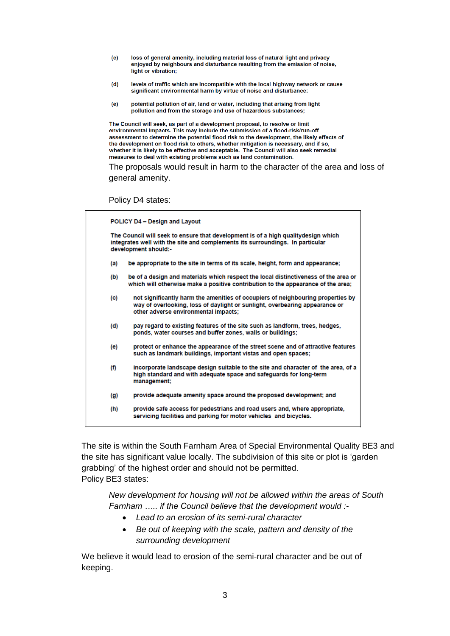- $(c)$ loss of general amenity, including material loss of natural light and privacy enjoyed by neighbours and disturbance resulting from the emission of noise, light or vibration;
- $(d)$ levels of traffic which are incompatible with the local highway network or cause significant environmental harm by virtue of noise and disturbance;
- $(e)$ potential pollution of air, land or water, including that arising from light pollution and from the storage and use of hazardous substances;

The Council will seek, as part of a development proposal, to resolve or limit environmental impacts. This may include the submission of a flood-risk/run-off assessment to determine the potential flood risk to the development, the likely effects of the development on flood risk to others, whether mitigation is necessary, and if so, whether it is likely to be effective and acceptable. The Council will also seek remedial measures to deal with existing problems such as land contamination.

The proposals would result in harm to the character of the area and loss of general amenity.

Policy D4 states:

| POLICY D4 - Design and Layout                                                                                                                                                              |                                                                                                                                                                                                        |
|--------------------------------------------------------------------------------------------------------------------------------------------------------------------------------------------|--------------------------------------------------------------------------------------------------------------------------------------------------------------------------------------------------------|
| The Council will seek to ensure that development is of a high qualitydesign which<br>integrates well with the site and complements its surroundings. In particular<br>development should:- |                                                                                                                                                                                                        |
| (a)                                                                                                                                                                                        | be appropriate to the site in terms of its scale, height, form and appearance;                                                                                                                         |
| (b)                                                                                                                                                                                        | be of a design and materials which respect the local distinctiveness of the area or<br>which will otherwise make a positive contribution to the appearance of the area;                                |
| (c)                                                                                                                                                                                        | not significantly harm the amenities of occupiers of neighbouring properties by<br>way of overlooking, loss of daylight or sunlight, overbearing appearance or<br>other adverse environmental impacts; |
| (d)                                                                                                                                                                                        | pay regard to existing features of the site such as landform, trees, hedges,<br>ponds, water courses and buffer zones, walls or buildings;                                                             |
| (e)                                                                                                                                                                                        | protect or enhance the appearance of the street scene and of attractive features<br>such as landmark buildings, important vistas and open spaces;                                                      |
| (f)                                                                                                                                                                                        | incorporate landscape design suitable to the site and character of the area, of a<br>high standard and with adequate space and safeguards for long-term<br>management;                                 |
| (g)                                                                                                                                                                                        | provide adequate amenity space around the proposed development; and                                                                                                                                    |
| (h)                                                                                                                                                                                        | provide safe access for pedestrians and road users and, where appropriate,<br>servicing facilities and parking for motor vehicles and bicycles.                                                        |

The site is within the South Farnham Area of Special Environmental Quality BE3 and the site has significant value locally. The subdivision of this site or plot is 'garden grabbing' of the highest order and should not be permitted. Policy BE3 states:

*New development for housing will not be allowed within the areas of South Farnham ….. if the Council believe that the development would :-*

- *Lead to an erosion of its semi-rural character*
- *Be out of keeping with the scale, pattern and density of the surrounding development*

We believe it would lead to erosion of the semi-rural character and be out of keeping.